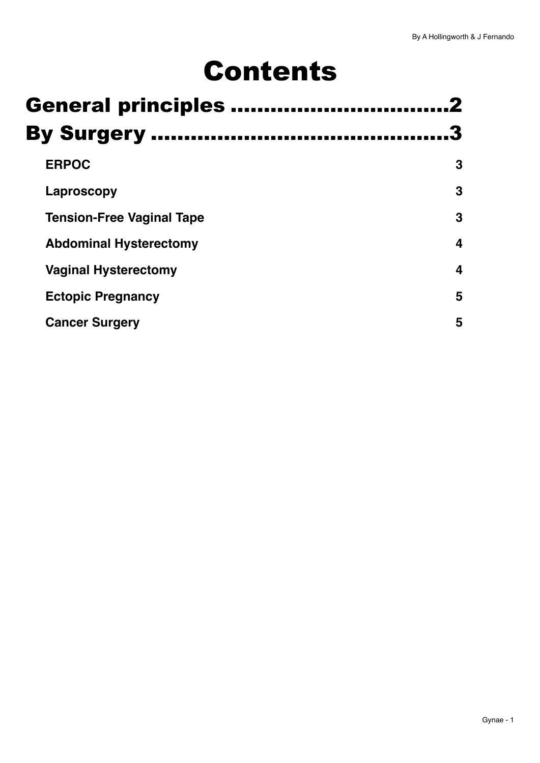# Contents

| <b>General principles </b>       |   |
|----------------------------------|---|
| <b>By Surgery </b>               |   |
| <b>ERPOC</b>                     | 3 |
| Laproscopy                       | 3 |
| <b>Tension-Free Vaginal Tape</b> | 3 |
| <b>Abdominal Hysterectomy</b>    | 4 |
| <b>Vaginal Hysterectomy</b>      | 4 |
| <b>Ectopic Pregnancy</b>         | 5 |
| <b>Cancer Surgery</b>            | 5 |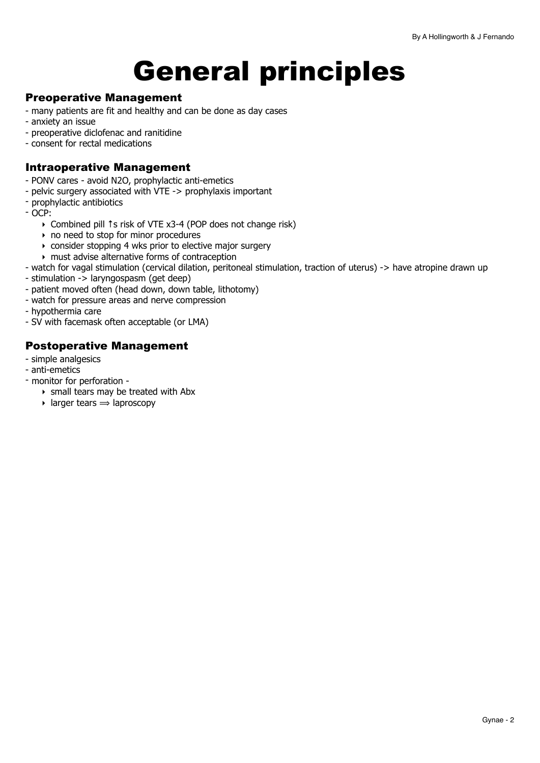# <span id="page-1-0"></span>General principles

#### Preoperative Management

- many patients are fit and healthy and can be done as day cases
- anxiety an issue
- preoperative diclofenac and ranitidine
- consent for rectal medications

#### Intraoperative Management

- PONV cares avoid N2O, prophylactic anti-emetics
- pelvic surgery associated with VTE -> prophylaxis important
- prophylactic antibiotics
- OCP:
	- ‣ Combined pill ↑s risk of VTE x3-4 (POP does not change risk)
	- ‣ no need to stop for minor procedures
	- ‣ consider stopping 4 wks prior to elective major surgery
	- ‣ must advise alternative forms of contraception
- watch for vagal stimulation (cervical dilation, peritoneal stimulation, traction of uterus) -> have atropine drawn up
- stimulation -> laryngospasm (get deep)
- patient moved often (head down, down table, lithotomy)
- watch for pressure areas and nerve compression
- hypothermia care
- SV with facemask often acceptable (or LMA)

#### Postoperative Management

- simple analgesics
- anti-emetics
- monitor for perforation
	- ‣ small tears may be treated with Abx
	- $\triangleright$  larger tears  $\Rightarrow$  laproscopy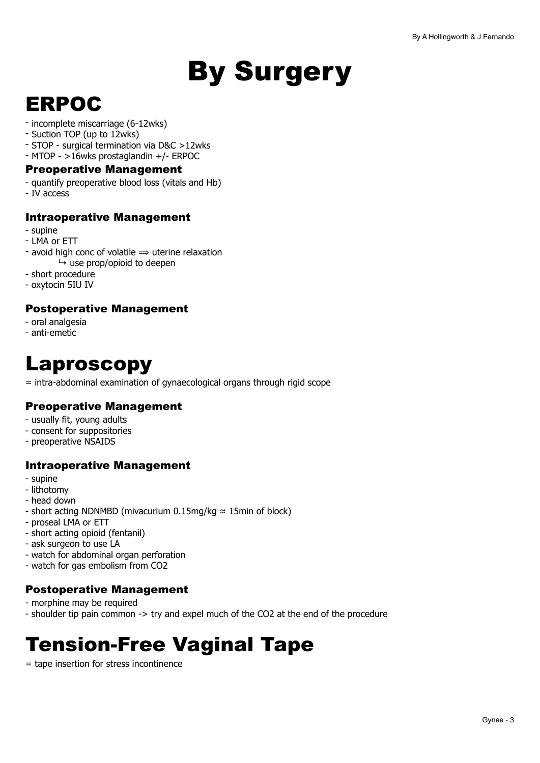# <span id="page-2-0"></span>By Surgery

# <span id="page-2-1"></span>ERPOC

- incomplete miscarriage (6-12wks)
- Suction TOP (up to 12wks)
- STOP surgical termination via D&C >12wks
- MTOP >16wks prostaglandin +/- ERPOC

#### Preoperative Management

- quantify preoperative blood loss (vitals and Hb)
- IV access

#### Intraoperative Management

- supine
- LMA or ETT
- avoid high conc of volatile  $\Rightarrow$  uterine relaxation  $ightharpoonup$  use prop/opioid to deepen
- short procedure
- oxytocin 5IU IV

### Postoperative Management

- oral analgesia
- anti-emetic

# <span id="page-2-2"></span>Laproscopy

= intra-abdominal examination of gynaecological organs through rigid scope

### Preoperative Management

- usually fit, young adults
- consent for suppositories
- preoperative NSAIDS

### Intraoperative Management

- supine
- lithotomy
- head down
- short acting NDNMBD (mivacurium 0.15mg/kg ≈ 15min of block)
- proseal LMA or ETT
- short acting opioid (fentanil)
- ask surgeon to use LA
- watch for abdominal organ perforation
- watch for gas embolism from CO2

### Postoperative Management

- morphine may be required
- shoulder tip pain common -> try and expel much of the CO2 at the end of the procedure

# <span id="page-2-3"></span>Tension-Free Vaginal Tape

= tape insertion for stress incontinence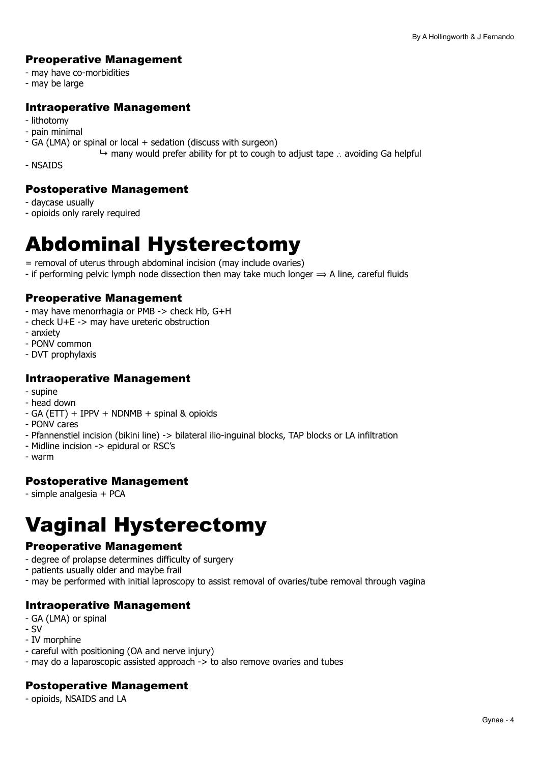## Preoperative Management

- may have co-morbidities
- may be large

### Intraoperative Management

- lithotomy
- pain minimal
- GA (LMA) or spinal or local + sedation (discuss with surgeon)
- ↳ many would prefer ability for pt to cough to adjust tape ∴ avoiding Ga helpful

- NSAIDS

#### Postoperative Management

- daycase usually
- opioids only rarely required

# <span id="page-3-0"></span>Abdominal Hysterectomy

- = removal of uterus through abdominal incision (may include ovaries)
- if performing pelvic lymph node dissection then may take much longer  $\Rightarrow$  A line, careful fluids

### Preoperative Management

- may have menorrhagia or PMB -> check Hb, G+H
- check U+E -> may have ureteric obstruction
- anxiety
- PONV common
- DVT prophylaxis

#### Intraoperative Management

- supine
- head down
- GA (ETT) + IPPV + NDNMB + spinal & opioids
- PONV cares
- Pfannenstiel incision (bikini line) -> bilateral ilio-inguinal blocks, TAP blocks or LA infiltration
- Midline incision -> epidural or RSC's
- warm

# Postoperative Management

- simple analgesia + PCA

# <span id="page-3-1"></span>Vaginal Hysterectomy

# Preoperative Management

- degree of prolapse determines difficulty of surgery
- patients usually older and maybe frail
- may be performed with initial laproscopy to assist removal of ovaries/tube removal through vagina

# Intraoperative Management

- GA (LMA) or spinal
- SV
- IV morphine
- careful with positioning (OA and nerve injury)
- may do a laparoscopic assisted approach -> to also remove ovaries and tubes

# Postoperative Management

- opioids, NSAIDS and LA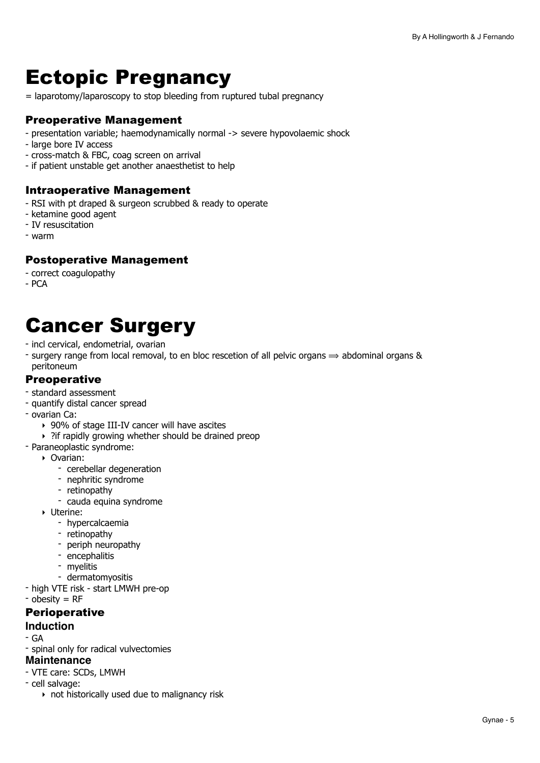# <span id="page-4-0"></span>Ectopic Pregnancy

= laparotomy/laparoscopy to stop bleeding from ruptured tubal pregnancy

### Preoperative Management

- presentation variable; haemodynamically normal -> severe hypovolaemic shock
- large bore IV access
- cross-match & FBC, coag screen on arrival
- if patient unstable get another anaesthetist to help

#### Intraoperative Management

- RSI with pt draped & surgeon scrubbed & ready to operate
- ketamine good agent
- IV resuscitation
- warm

#### Postoperative Management

- correct coagulopathy
- PCA

# <span id="page-4-1"></span>Cancer Surgery

- incl cervical, endometrial, ovarian
- surgery range from local removal, to en bloc rescetion of all pelvic organs  $\Rightarrow$  abdominal organs & peritoneum

#### **Preoperative**

- standard assessment
- quantify distal cancer spread
- ovarian Ca:
	- ‣ 90% of stage III-IV cancer will have ascites
	- ‣ ?if rapidly growing whether should be drained preop
- Paraneoplastic syndrome:
	- ‣ Ovarian:
		- cerebellar degeneration
		- nephritic syndrome
		- retinopathy
		- cauda equina syndrome
	- ‣ Uterine:
		- hypercalcaemia
		- retinopathy
		- periph neuropathy
		- encephalitis
		- myelitis
		- dermatomyositis
- high VTE risk start LMWH pre-op
- obesity = RF

#### **Perioperative**

#### **Induction**

- GA
- spinal only for radical vulvectomies

#### **Maintenance**

- VTE care: SCDs, LMWH
- cell salvage:
	- ‣ not historically used due to malignancy risk